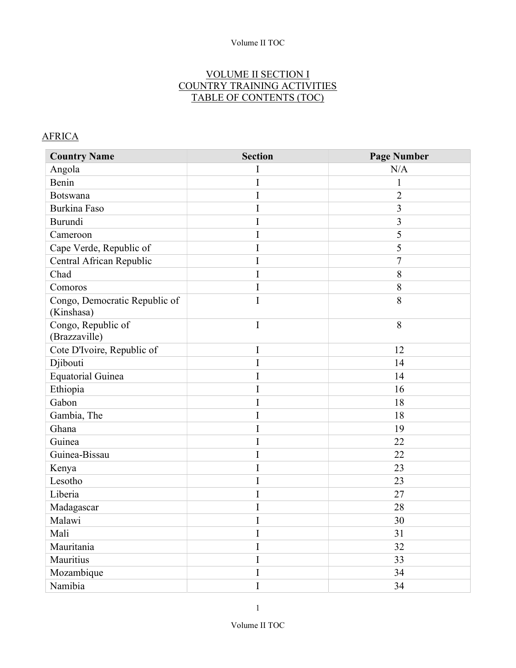#### VOLUME II SECTION I COUNTRY TRAINING ACTIVITIES TABLE OF CONTENTS (TOC)

## **AFRICA**

| <b>Country Name</b>                         | <b>Section</b> | <b>Page Number</b> |
|---------------------------------------------|----------------|--------------------|
| Angola                                      | I              | N/A                |
| Benin                                       | I              | $\mathbf 1$        |
| <b>Botswana</b>                             | I              | $\overline{2}$     |
| <b>Burkina Faso</b>                         | I              | $\overline{3}$     |
| Burundi                                     | I              | $\overline{3}$     |
| Cameroon                                    | I              | 5                  |
| Cape Verde, Republic of                     | I              | 5                  |
| Central African Republic                    | I              | $\tau$             |
| Chad                                        | I              | 8                  |
| Comoros                                     | I              | 8                  |
| Congo, Democratic Republic of<br>(Kinshasa) | I              | 8                  |
| Congo, Republic of<br>(Brazzaville)         | I              | 8                  |
| Cote D'Ivoire, Republic of                  | I              | 12                 |
| Djibouti                                    | I              | 14                 |
| <b>Equatorial Guinea</b>                    | I              | 14                 |
| Ethiopia                                    | I              | 16                 |
| Gabon                                       | I              | 18                 |
| Gambia, The                                 | I              | 18                 |
| Ghana                                       | I              | 19                 |
| Guinea                                      | I              | 22                 |
| Guinea-Bissau                               | I              | 22                 |
| Kenya                                       | I              | 23                 |
| Lesotho                                     | I              | 23                 |
| Liberia                                     | I              | 27                 |
| Madagascar                                  | I              | 28                 |
| Malawi                                      | I              | 30                 |
| Mali                                        | I              | 31                 |
| Mauritania                                  | I              | 32                 |
| Mauritius                                   | I              | 33                 |
| Mozambique                                  | I              | 34                 |
| Namibia                                     | I              | 34                 |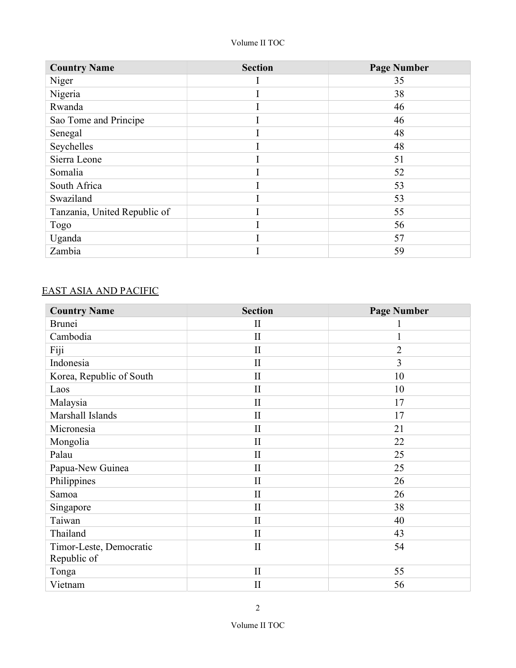| <b>Country Name</b>          | <b>Section</b> | <b>Page Number</b> |
|------------------------------|----------------|--------------------|
| Niger                        |                | 35                 |
| Nigeria                      |                | 38                 |
| Rwanda                       |                | 46                 |
| Sao Tome and Principe        |                | 46                 |
| Senegal                      |                | 48                 |
| Seychelles                   |                | 48                 |
| Sierra Leone                 |                | 51                 |
| Somalia                      |                | 52                 |
| South Africa                 |                | 53                 |
| Swaziland                    |                | 53                 |
| Tanzania, United Republic of |                | 55                 |
| Togo                         |                | 56                 |
| Uganda                       |                | 57                 |
| Zambia                       |                | 59                 |

#### EAST ASIA AND PACIFIC

| <b>Country Name</b>      | <b>Section</b> | <b>Page Number</b> |
|--------------------------|----------------|--------------------|
| <b>Brunei</b>            | $\mathbf{I}$   |                    |
| Cambodia                 | $\mathbf{I}$   | 1                  |
| Fiji                     | $\mathbf{I}$   | $\overline{2}$     |
| Indonesia                | $\mathbf{I}$   | $\overline{3}$     |
| Korea, Republic of South | $\mathbf{I}$   | 10                 |
| Laos                     | $\mathbf{I}$   | 10                 |
| Malaysia                 | $\mathbf{I}$   | 17                 |
| Marshall Islands         | $\mathbf{I}$   | 17                 |
| Micronesia               | $\mathbf{I}$   | 21                 |
| Mongolia                 | $\mathbf{I}$   | 22                 |
| Palau                    | $\mathbf{I}$   | 25                 |
| Papua-New Guinea         | $\mathbf{I}$   | 25                 |
| Philippines              | $\mathbf{I}$   | 26                 |
| Samoa                    | $\mathbf{I}$   | 26                 |
| Singapore                | $\mathbf{I}$   | 38                 |
| Taiwan                   | $\rm II$       | 40                 |
| Thailand                 | $\mathbf{I}$   | 43                 |
| Timor-Leste, Democratic  | $\mathbf{I}$   | 54                 |
| Republic of              |                |                    |
| Tonga                    | $\mathbf{I}$   | 55                 |
| Vietnam                  | $\mathbf{I}$   | 56                 |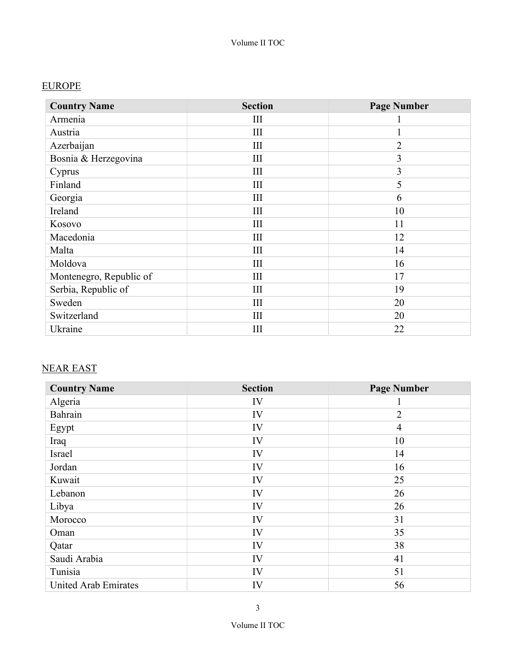## EUROPE

| <b>Country Name</b>     | <b>Section</b> | <b>Page Number</b> |
|-------------------------|----------------|--------------------|
| Armenia                 | Ш              |                    |
| Austria                 | Ш              |                    |
| Azerbaijan              | III            | $\overline{2}$     |
| Bosnia & Herzegovina    | III            | 3                  |
| Cyprus                  | III            | 3                  |
| Finland                 | III            | 5                  |
| Georgia                 | III            | 6                  |
| Ireland                 | III            | 10                 |
| Kosovo                  | Ш              | 11                 |
| Macedonia               | Ш              | 12                 |
| Malta                   | Ш              | 14                 |
| Moldova                 | III            | 16                 |
| Montenegro, Republic of | III            | 17                 |
| Serbia, Republic of     | III            | 19                 |
| Sweden                  | III            | 20                 |
| Switzerland             | III            | 20                 |
| Ukraine                 | Ш              | 22                 |

## NEAR EAST

| <b>Country Name</b>         | <b>Section</b> | <b>Page Number</b> |
|-----------------------------|----------------|--------------------|
| Algeria                     | IV             |                    |
| Bahrain                     | IV             | $\overline{2}$     |
| Egypt                       | IV             | $\overline{4}$     |
| Iraq                        | IV             | 10                 |
| Israel                      | IV             | 14                 |
| Jordan                      | IV             | 16                 |
| Kuwait                      | IV             | 25                 |
| Lebanon                     | IV             | 26                 |
| Libya                       | IV             | 26                 |
| Morocco                     | IV             | 31                 |
| Oman                        | IV             | 35                 |
| Qatar                       | IV             | 38                 |
| Saudi Arabia                | IV             | 41                 |
| Tunisia                     | IV             | 51                 |
| <b>United Arab Emirates</b> | IV             | 56                 |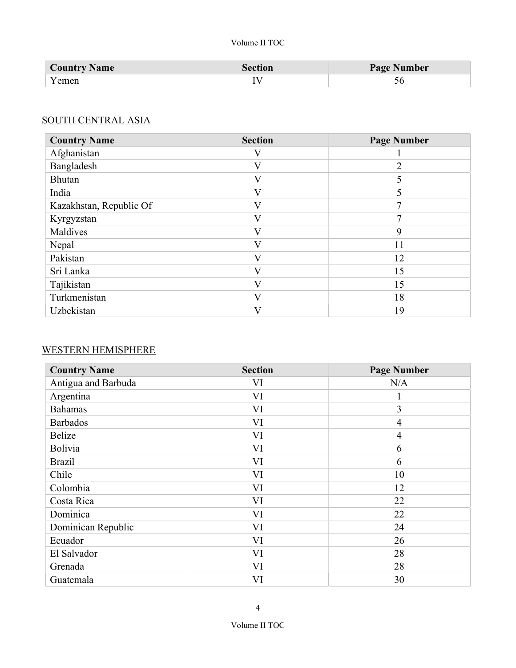| <b>Country Name</b> | <b>Section</b> | <b>Page Number</b> |
|---------------------|----------------|--------------------|
| Y emen              |                |                    |

#### SOUTH CENTRAL ASIA

| <b>Country Name</b>     | <b>Section</b> | <b>Page Number</b> |
|-------------------------|----------------|--------------------|
| Afghanistan             |                |                    |
| Bangladesh              | $\mathbf{V}$   | ∍                  |
| <b>Bhutan</b>           | V              |                    |
| India                   | V              |                    |
| Kazakhstan, Republic Of | $\mathbf{V}$   | ⇁                  |
| Kyrgyzstan              | $\rm _V$       | 7                  |
| Maldives                | V              | 9                  |
| Nepal                   | $\mathbf{V}$   | 11                 |
| Pakistan                | V              | 12                 |
| Sri Lanka               | V              | 15                 |
| Tajikistan              | $\mathbf{V}$   | 15                 |
| Turkmenistan            | $\mathbf{V}$   | 18                 |
| Uzbekistan              | ٦Z             | 19                 |

# WESTERN HEMISPHERE

| <b>Country Name</b> | <b>Section</b> | <b>Page Number</b> |
|---------------------|----------------|--------------------|
| Antigua and Barbuda | VI             | N/A                |
| Argentina           | VI             | 1                  |
| <b>Bahamas</b>      | VI             | 3                  |
| <b>Barbados</b>     | VI             | $\overline{4}$     |
| Belize              | VI             | $\overline{4}$     |
| Bolivia             | VI             | 6                  |
| <b>Brazil</b>       | VI             | 6                  |
| Chile               | VI             | 10                 |
| Colombia            | VI             | 12                 |
| Costa Rica          | VI             | 22                 |
| Dominica            | VI             | 22                 |
| Dominican Republic  | VI             | 24                 |
| Ecuador             | VI             | 26                 |
| El Salvador         | VI             | 28                 |
| Grenada             | VI             | 28                 |
| Guatemala           | VI             | 30                 |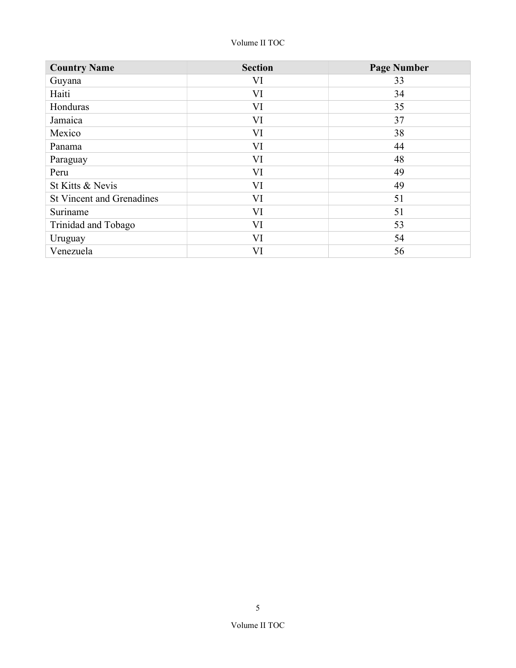| <b>Country Name</b>              | <b>Section</b> | <b>Page Number</b> |
|----------------------------------|----------------|--------------------|
| Guyana                           | VI             | 33                 |
| Haiti                            | VI             | 34                 |
| Honduras                         | VI             | 35                 |
| Jamaica                          | VI             | 37                 |
| Mexico                           | VI             | 38                 |
| Panama                           | VI             | 44                 |
| Paraguay                         | VI             | 48                 |
| Peru                             | VI             | 49                 |
| St Kitts & Nevis                 | VI             | 49                 |
| <b>St Vincent and Grenadines</b> | VI             | 51                 |
| Suriname                         | VI             | 51                 |
| Trinidad and Tobago              | VI             | 53                 |
| Uruguay                          | VI             | 54                 |
| Venezuela                        | VI             | 56                 |